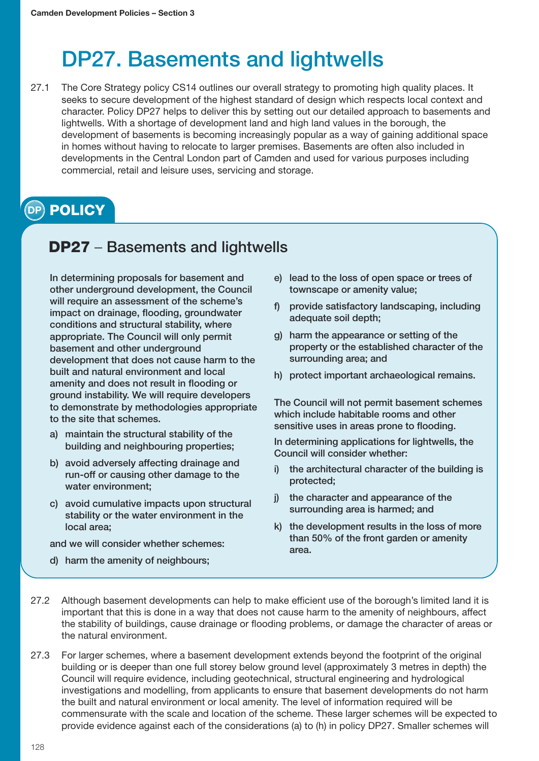## DP27. Basements and lightwells

27.1 The Core Strategy policy CS14 outlines our overall strategy to promoting high quality places. It seeks to secure development of the highest standard of design which respects local context and character. Policy DP27 helps to deliver this by setting out our detailed approach to basements and lightwells. With a shortage of development land and high land values in the borough, the development of basements is becoming increasingly popular as a way of gaining additional space in homes without having to relocate to larger premises. Basements are often also included in developments in the Central London part of Camden and used for various purposes including commercial, retail and leisure uses, servicing and storage.

## **POLICY DP**

## **DP27** – Basements and lightwells

In determining proposals for basement and other underground development, the Council will require an assessment of the scheme's impact on drainage, flooding, groundwater conditions and structural stability, where appropriate. The Council will only permit basement and other underground development that does not cause harm to the built and natural environment and local amenity and does not result in flooding or ground instability. We will require developers to demonstrate by methodologies appropriate to the site that schemes.

- a) maintain the structural stability of the building and neighbouring properties;
- b) avoid adversely affecting drainage and run-off or causing other damage to the water environment;
- c) avoid cumulative impacts upon structural stability or the water environment in the local area;

and we will consider whether schemes:

d) harm the amenity of neighbours;

- e) lead to the loss of open space or trees of townscape or amenity value;
- f) provide satisfactory landscaping, including adequate soil depth;
- g) harm the appearance or setting of the property or the established character of the surrounding area; and
- h) protect important archaeological remains.

The Council will not permit basement schemes which include habitable rooms and other sensitive uses in areas prone to flooding.

In determining applications for lightwells, the Council will consider whether:

- i) the architectural character of the building is protected;
- j) the character and appearance of the surrounding area is harmed; and
- k) the development results in the loss of more than 50% of the front garden or amenity area.
- 27.2 Although basement developments can help to make efficient use of the borough's limited land it is important that this is done in a way that does not cause harm to the amenity of neighbours, affect the stability of buildings, cause drainage or flooding problems, or damage the character of areas or the natural environment.
- 27.3 For larger schemes, where a basement development extends beyond the footprint of the original building or is deeper than one full storey below ground level (approximately 3 metres in depth) the Council will require evidence, including geotechnical, structural engineering and hydrological investigations and modelling, from applicants to ensure that basement developments do not harm the built and natural environment or local amenity. The level of information required will be commensurate with the scale and location of the scheme. These larger schemes will be expected to provide evidence against each of the considerations (a) to (h) in policy DP27. Smaller schemes will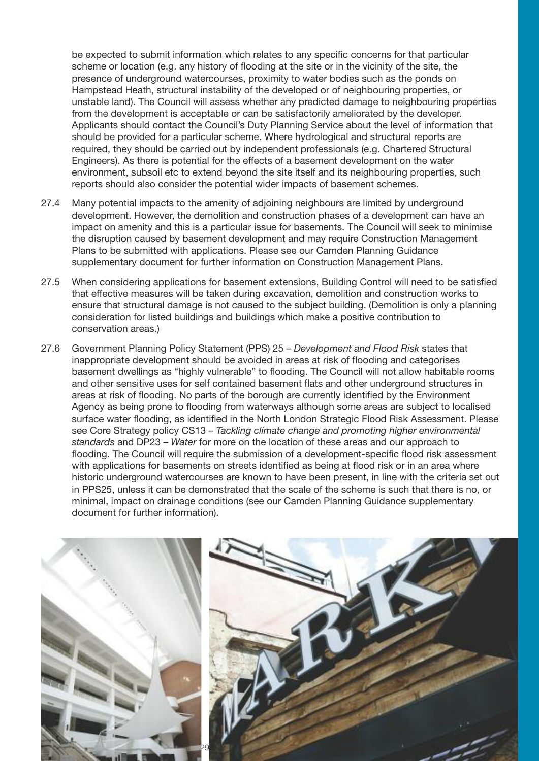be expected to submit information which relates to any specific concerns for that particular scheme or location (e.g. any history of flooding at the site or in the vicinity of the site, the presence of underground watercourses, proximity to water bodies such as the ponds on Hampstead Heath, structural instability of the developed or of neighbouring properties, or unstable land). The Council will assess whether any predicted damage to neighbouring properties from the development is acceptable or can be satisfactorily ameliorated by the developer. Applicants should contact the Council's Duty Planning Service about the level of information that should be provided for a particular scheme. Where hydrological and structural reports are required, they should be carried out by independent professionals (e.g. Chartered Structural Engineers). As there is potential for the effects of a basement development on the water environment, subsoil etc to extend beyond the site itself and its neighbouring properties, such reports should also consider the potential wider impacts of basement schemes.

- 27.4 Many potential impacts to the amenity of adjoining neighbours are limited by underground development. However, the demolition and construction phases of a development can have an impact on amenity and this is a particular issue for basements. The Council will seek to minimise the disruption caused by basement development and may require Construction Management Plans to be submitted with applications. Please see our Camden Planning Guidance supplementary document for further information on Construction Management Plans.
- 27.5 When considering applications for basement extensions, Building Control will need to be satisfied that effective measures will be taken during excavation, demolition and construction works to ensure that structural damage is not caused to the subject building. (Demolition is only a planning consideration for listed buildings and buildings which make a positive contribution to conservation areas.)
- 27.6 Government Planning Policy Statement (PPS) 25 *Development and Flood Risk* states that inappropriate development should be avoided in areas at risk of flooding and categorises basement dwellings as "highly vulnerable" to flooding. The Council will not allow habitable rooms and other sensitive uses for self contained basement flats and other underground structures in areas at risk of flooding. No parts of the borough are currently identified by the Environment Agency as being prone to flooding from waterways although some areas are subject to localised surface water flooding, as identified in the North London Strategic Flood Risk Assessment. Please see Core Strategy policy CS13 – *Tackling climate change and promoting higher environmental standards* and DP23 – *Water* for more on the location of these areas and our approach to flooding. The Council will require the submission of a development-specific flood risk assessment with applications for basements on streets identified as being at flood risk or in an area where historic underground watercourses are known to have been present, in line with the criteria set out in PPS25, unless it can be demonstrated that the scale of the scheme is such that there is no, or minimal, impact on drainage conditions (see our Camden Planning Guidance supplementary document for further information).